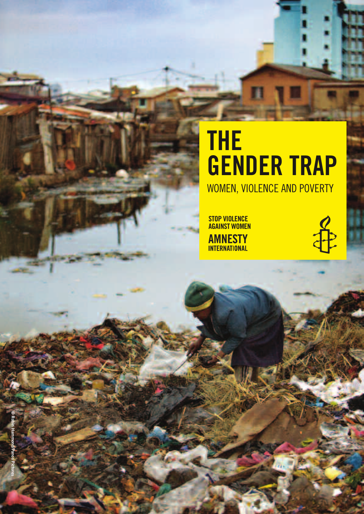# THE GENDER TRAP WOMEN, VIOLENCE AND POVERTY

STOP VIOLENCE AGAINST WOMEN **AMNESTY**<br>INTERNATIONAL

 $\frac{1}{\mathbf{p}}$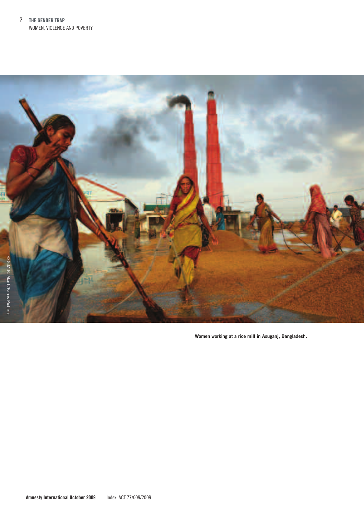

Women working at a rice mill in Asuganj, Bangladesh.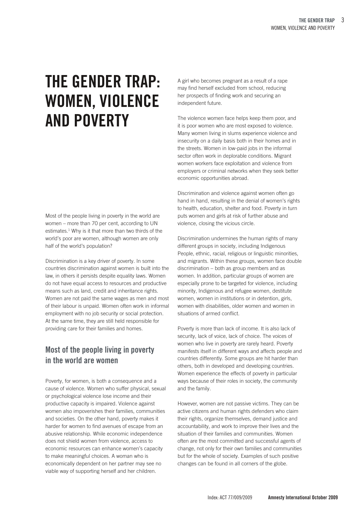### THE GENDER TRAP: WOMEN, VIOLENCE AND POVERTY

Most of the people living in poverty in the world are women – more than 70 per cent, according to UN estimates. <sup>1</sup> Why is it that more than two thirds of the world's poor are women, although women are only half of the world's population?

Discrimination is a key driver of poverty. In some countries discrimination against women is built into the law, in others it persists despite equality laws. Women do not have equal access to resources and productive means such as land, credit and inheritance rights. Women are not paid the same wages as men and most of their labour is unpaid. Women often work in informal employment with no job security or social protection. At the same time, they are still held responsible for providing care for their families and homes.

#### Most of the people living in poverty in the world are women

Poverty, for women, is both a consequence and a cause of violence. Women who suffer physical, sexual or psychological violence lose income and their productive capacity is impaired. Violence against women also impoverishes their families, communities and societies. On the other hand, poverty makes it harder for women to find avenues of escape from an abusive relationship. While economic independence does not shield women from violence, access to economic resources can enhance women's capacity to make meaningful choices. A woman who is economically dependent on her partner may see no viable way of supporting herself and her children.

A girl who becomes pregnant as a result of a rape may find herself excluded from school, reducing her prospects of finding work and securing an independent future.

The violence women face helps keep them poor, and it is poor women who are most exposed to violence. Many women living in slums experience violence and insecurity on a daily basis both in their homes and in the streets. Women in low-paid jobs in the informal sector often work in deplorable conditions. Migrant women workers face exploitation and violence from employers or criminal networks when they seek better economic opportunities abroad.

Discrimination and violence against women often go hand in hand, resulting in the denial of women's rights to health, education, shelter and food. Poverty in turn puts women and girls at risk of further abuse and violence, closing the vicious circle.

Discrimination undermines the human rights of many different groups in society, including Indigenous People, ethnic, racial, religious or linguistic minorities, and migrants. Within these groups, women face double discrimination – both as group members and as women. In addition, particular groups of women are especially prone to be targeted for violence, including minority, Indigenous and refugee women, destitute women, women in institutions or in detention, girls, women with disabilities, older women and women in situations of armed conflict.

Poverty is more than lack of income. It is also lack of security, lack of voice, lack of choice. The voices of women who live in poverty are rarely heard. Poverty manifests itself in different ways and affects people and countries differently. Some groups are hit harder than others, both in developed and developing countries. Women experience the effects of poverty in particular ways because of their roles in society, the community and the family.

However, women are not passive victims. They can be active citizens and human rights defenders who claim their rights, organize themselves, demand justice and accountability, and work to improve their lives and the situation of their families and communities. Women often are the most committed and successful agents of change, not only for their own families and communities but for the whole of society. Examples of such positive changes can be found in all corners of the globe.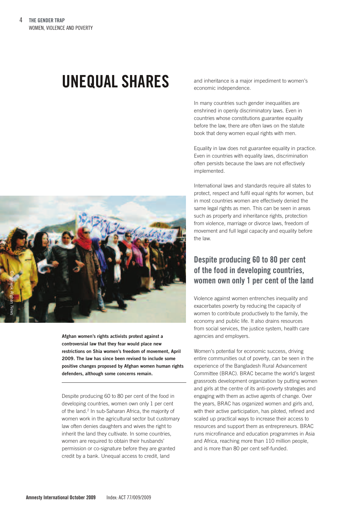## UNEQUAL SHARES



Afghan women's rights activists protest against a controversial law that they fear would place new restrictions on Shia women's freedom of movement, April 2009. The law has since been revised to include some positive changes proposed by Afghan women human rights defenders, although some concerns remain.

Despite producing 60 to 80 per cent of the food in developing countries, women own only 1 per cent of the land.<sup>2</sup> In sub-Saharan Africa, the majority of women work in the agricultural sector but customary law often denies daughters and wives the right to inherit the land they cultivate. In some countries, women are required to obtain their husbands' permission or co-signature before they are granted credit by a bank. Unequal access to credit, land

and inheritance is a major impediment to women's economic independence.

In many countries such gender inequalities are enshrined in openly discriminatory laws. Even in countries whose constitutions guarantee equality before the law, there are often laws on the statute book that deny women equal rights with men.

Equality in law does not guarantee equality in practice. Even in countries with equality laws, discrimination often persists because the laws are not effectively implemented.

International laws and standards require all states to protect, respect and fulfil equal rights for women, but in most countries women are effectively denied the same legal rights as men. This can be seen in areas such as property and inheritance rights, protection from violence, marriage or divorce laws, freedom of movement and full legal capacity and equality before the law.

#### Despite producing 60 to 80 per cent of the food in developing countries, women own only 1 per cent of the land

Violence against women entrenches inequality and exacerbates poverty by reducing the capacity of women to contribute productively to the family, the economy and public life. It also drains resources from social services, the justice system, health care agencies and employers.

Women's potential for economic success, driving entire communities out of poverty, can be seen in the experience of the Bangladesh Rural Advancement Committee (BRAC). BRAC became the world's largest grassroots development organization by putting women and girls at the centre of its anti-poverty strategies and engaging with them as active agents of change. Over the years, BRAC has organized women and girls and, with their active participation, has piloted, refined and scaled up practical ways to increase their access to resources and support them as entrepreneurs. BRAC runs microfinance and education programmes in Asia and Africa, reaching more than 110 million people, and is more than 80 per cent self-funded.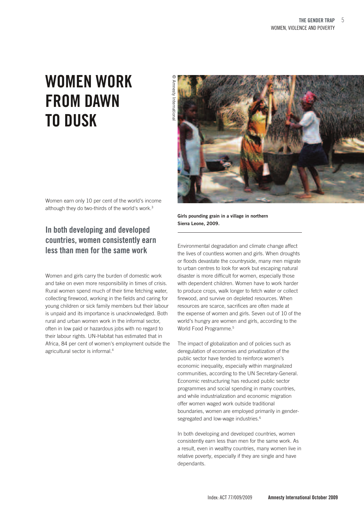### WOMEN WORK FROM DAWN TO DUSK



Women earn only 10 per cent of the world's income although they do two-thirds of the world's work.<sup>3</sup>

#### In both developing and developed countries, women consistently earn less than men for the same work

Women and girls carry the burden of domestic work and take on even more responsibility in times of crisis. Rural women spend much of their time fetching water, collecting firewood, working in the fields and caring for young children or sick family members but their labour is unpaid and its importance is unacknowledged. Both rural and urban women work in the informal sector, often in low paid or hazardous jobs with no regard to their labour rights. UN-Habitat has estimated that in Africa, 84 per cent of women's employment outside the agricultural sector is informal. 4

Girls pounding grain in a village in northern Sierra Leone, 2009.

Environmental degradation and climate change affect the lives of countless women and girls. When droughts or floods devastate the countryside, many men migrate to urban centres to look for work but escaping natural disaster is more difficult for women, especially those with dependent children. Women have to work harder to produce crops, walk longer to fetch water or collect firewood, and survive on depleted resources. When resources are scarce, sacrifices are often made at the expense of women and girls. Seven out of 10 of the world's hungry are women and girls, according to the World Food Programme. 5

The impact of globalization and of policies such as deregulation of economies and privatization of the public sector have tended to reinforce women's economic inequality, especially within marginalized communities, according to the UN Secretary-General. Economic restructuring has reduced public sector programmes and social spending in many countries, and while industrialization and economic migration offer women waged work outside traditional boundaries, women are employed primarily in gendersegregated and low-wage industries.<sup>6</sup>

In both developing and developed countries, women consistently earn less than men for the same work. As a result, even in wealthy countries, many women live in relative poverty, especially if they are single and have dependants.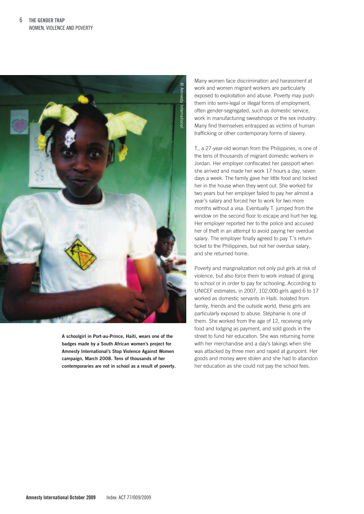

A schoolgirl in Port-au-Prince, Haiti, wears one of the badges made by a South African women's project for Amnesty International's Stop Violence Against Women campaign, March 2008. Tens of thousands of her contemporaries are not in school as a result of poverty.

Many women face discrimination and harassment at work and women migrant workers are particularly exposed to exploitation and abuse. Poverty may push them into semi-legal or illegal forms of employment, often gender-segregated, such as domestic service, work in manufacturing sweatshops or the sex industry. Many find themselves entrapped as victims of human trafficking or other contemporary forms of slavery.

T., a 27-year-old woman from the Philippines, is one of the tens of thousands of migrant domestic workers in Jordan. Her employer confiscated her passport when she arrived and made her work 17 hours a day, seven days a week. The family gave her little food and locked her in the house when they went out. She worked for two years but her employer failed to pay her almost a year's salary and forced her to work for two more months without a visa. Eventually T. jumped from the window on the second floor to escape and hurt her leg. Her employer reported her to the police and accused her of theft in an attempt to avoid paying her overdue salary. The employer finally agreed to pay T.'s return ticket to the Philippines, but not her overdue salary, and she returned home.

Poverty and marginalization not only put girls at risk of violence, but also force them to work instead of going to school or in order to pay for schooling. According to UNICEF estimates, in 2007, 102,000 girls aged 6 to 17 worked as domestic servants in Haiti. Isolated from family, friends and the outside world, these girls are particularly exposed to abuse. Stéphanie is one of them. She worked from the age of 12, receiving only food and lodging as payment, and sold goods in the street to fund her education. She was returning home with her merchandise and a day's takings when she was attacked by three men and raped at gunpoint. Her goods and money were stolen and she had to abandon her education as she could not pay the school fees.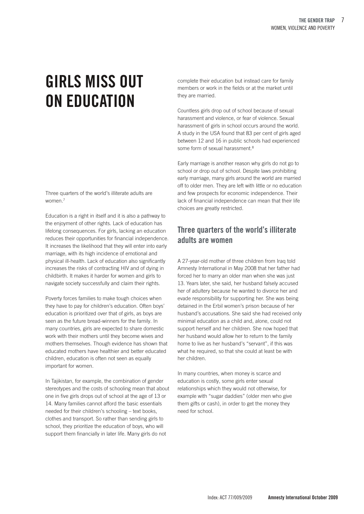# GIRLS MISS OUT ON EDUCATION

Three quarters of the world's illiterate adults are women. 7

Education is a right in itself and it is also a pathway to the enjoyment of other rights. Lack of education has lifelong consequences. For girls, lacking an education reduces their opportunities for financial independence. It increases the likelihood that they will enter into early marriage, with its high incidence of emotional and physical ill-health. Lack of education also significantly increases the risks of contracting HIV and of dying in childbirth. It makes it harder for women and girls to navigate society successfully and claim their rights.

Poverty forces families to make tough choices when they have to pay for children's education. Often boys' education is prioritized over that of girls, as boys are seen as the future bread-winners for the family. In many countries, girls are expected to share domestic work with their mothers until they become wives and mothers themselves. Though evidence has shown that educated mothers have healthier and better educated children, education is often not seen as equally important for women.

In Tajikistan, for example, the combination of gender stereotypes and the costs of schooling mean that about one in five girls drops out of school at the age of 13 or 14. Many families cannot afford the basic essentials needed for their children's schooling – text books, clothes and transport. So rather than sending girls to school, they prioritize the education of boys, who will support them financially in later life. Many girls do not

complete their education but instead care for family members or work in the fields or at the market until they are married.

Countless girls drop out of school because of sexual harassment and violence, or fear of violence. Sexual harassment of girls in school occurs around the world. A study in the USA found that 83 per cent of girls aged between 12 and 16 in public schools had experienced some form of sexual harassment.<sup>8</sup>

Early marriage is another reason why girls do not go to school or drop out of school. Despite laws prohibiting early marriage, many girls around the world are married off to older men. They are left with little or no education and few prospects for economic independence. Their lack of financial independence can mean that their life choices are greatly restricted.

#### Three quarters of the world's illiterate adults are women

A 27-year-old mother of three children from Iraq told Amnesty International in May 2008 that her father had forced her to marry an older man when she was just 13. Years later, she said, her husband falsely accused her of adultery because he wanted to divorce her and evade responsibility for supporting her. She was being detained in the Erbil women's prison because of her husband's accusations. She said she had received only minimal education as a child and, alone, could not support herself and her children. She now hoped that her husband would allow her to return to the family home to live as her husband's "servant", if this was what he required, so that she could at least be with her children.

In many countries, when money is scarce and education is costly, some girls enter sexual relationships which they would not otherwise, for example with "sugar daddies" (older men who give them gifts or cash), in order to get the money they need for school.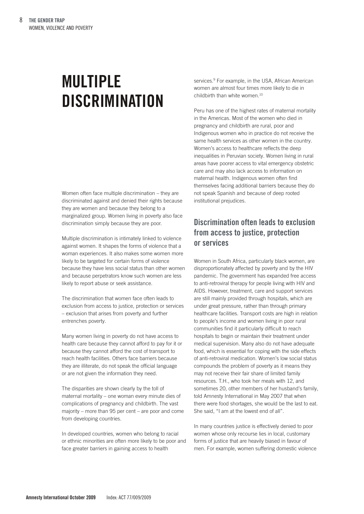### MULTIPLE **DISCRIMINATION**

Women often face multiple discrimination – they are discriminated against and denied their rights because they are women and because they belong to a marginalized group. Women living in poverty also face discrimination simply because they are poor.

Multiple discrimination is intimately linked to violence against women. It shapes the forms of violence that a woman experiences. It also makes some women more likely to be targeted for certain forms of violence because they have less social status than other women and because perpetrators know such women are less likely to report abuse or seek assistance.

The discrimination that women face often leads to exclusion from access to justice, protection or services – exclusion that arises from poverty and further entrenches poverty.

Many women living in poverty do not have access to health care because they cannot afford to pay for it or because they cannot afford the cost of transport to reach health facilities. Others face barriers because they are illiterate, do not speak the official language or are not given the information they need.

The disparities are shown clearly by the toll of maternal mortality – one woman every minute dies of complications of pregnancy and childbirth. The vast majority – more than 95 per cent – are poor and come from developing countries.

In developed countries, women who belong to racial or ethnic minorities are often more likely to be poor and face greater barriers in gaining access to health

services. <sup>9</sup> For example, in the USA, African American women are almost four times more likely to die in childbirth than white women.<sup>10</sup>

Peru has one of the highest rates of maternal mortality in the Americas. Most of the women who died in pregnancy and childbirth are rural, poor and Indigenous women who in practice do not receive the same health services as other women in the country. Women's access to healthcare reflects the deep inequalities in Peruvian society. Women living in rural areas have poorer access to vital emergency obstetric care and may also lack access to information on maternal health. Indigenous women often find themselves facing additional barriers because they do not speak Spanish and because of deep rooted institutional prejudices.

#### Discrimination often leads to exclusion from access to justice, protection or services

Women in South Africa, particularly black women, are disproportionately affected by poverty and by the HIV pandemic. The government has expanded free access to anti-retroviral therapy for people living with HIV and AIDS. However, treatment, care and support services are still mainly provided through hospitals, which are under great pressure, rather than through primary healthcare facilities. Transport costs are high in relation to people's income and women living in poor rural communities find it particularly difficult to reach hospitals to begin or maintain their treatment under medical supervision. Many also do not have adequate food, which is essential for coping with the side effects of anti-retroviral medication. Women's low social status compounds the problem of poverty as it means they may not receive their fair share of limited family resources. T.H., who took her meals with 12, and sometimes 20, other members of her husband's family, told Amnesty International in May 2007 that when there were food shortages, she would be the last to eat. She said, "I am at the lowest end of all".

In many countries justice is effectively denied to poor women whose only recourse lies in local, customary forms of justice that are heavily biased in favour of men. For example, women suffering domestic violence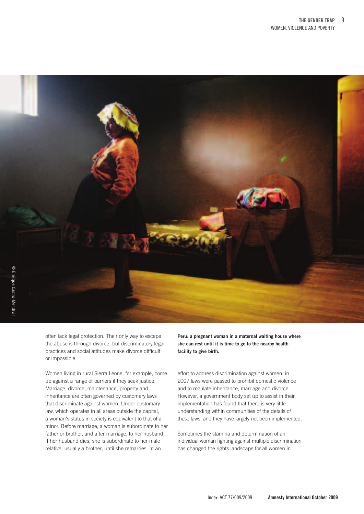

often lack legal protection. Their only way to escape the abuse is through divorce, but discriminatory legal practices and social attitudes make divorce difficult or impossible.

Women living in rural Sierra Leone, for example, come up against a range of barriers if they seek justice. Marriage, divorce, maintenance, property and inheritance are often governed by customary laws that discriminate against women. Under customary law, which operates in all areas outside the capital, a woman's status in society is equivalent to that of a minor. Before marriage, a woman is subordinate to her father or brother, and after marriage, to her husband. If her husband dies, she is subordinate to her male relative, usually a brother, until she remarries. In an

Peru: a pregnant woman in a maternal waiting house where she can rest until it is time to go to the nearby health facility to give birth.

effort to address discrimination against women, in 2007 laws were passed to prohibit domestic violence and to regulate inheritance, marriage and divorce. However, a government body set up to assist in their implementation has found that there is very little understanding within communities of the details of these laws, and they have largely not been implemented.

Sometimes the stamina and determination of an individual woman fighting against multiple discrimination has changed the rights landscape for all women in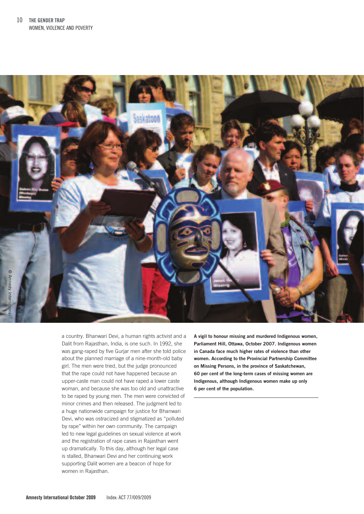

a country. Bhanwari Devi, a human rights activist and a Dalit from Rajasthan, India, is one such. In 1992, she was gang-raped by five Gurjar men after she told police about the planned marriage of a nine-month-old baby girl. The men were tried, but the judge pronounced that the rape could not have happened because an upper-caste man could not have raped a lower caste woman, and because she was too old and unattractive to be raped by young men. The men were convicted of minor crimes and then released. The judgment led to a huge nationwide campaign for justice for Bhanwari Devi, who was ostracized and stigmatized as "polluted by rape" within her own community. The campaign led to new legal guidelines on sexual violence at work and the registration of rape cases in Rajasthan went up dramatically. To this day, although her legal case is stalled, Bhanwari Devi and her continuing work supporting Dalit women are a beacon of hope for women in Rajasthan.

A vigil to honour missing and murdered Indigenous women, Parliament Hill, Ottawa, October 2007. Indigenous women in Canada face much higher rates of violence than other women. According to the Provincial Partnership Committee on Missing Persons, in the province of Saskatchewan, 60 per cent of the long-term cases of missing women are Indigenous, although Indigenous women make up only 6 per cent of the population.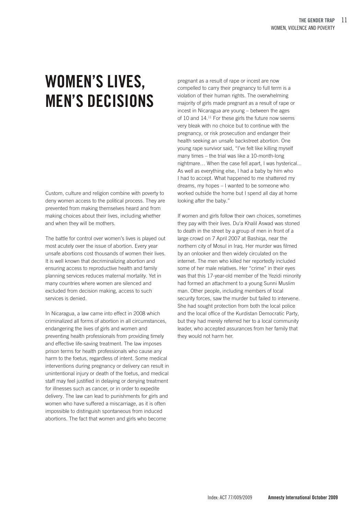## WOMEN'S LIVES, MEN'S DECISIONS

Custom, culture and religion combine with poverty to deny women access to the political process. They are prevented from making themselves heard and from making choices about their lives, including whether and when they will be mothers.

The battle for control over women's lives is played out most acutely over the issue of abortion. Every year unsafe abortions cost thousands of women their lives. It is well known that decriminalizing abortion and ensuring access to reproductive health and family planning services reduces maternal mortality. Yet in many countries where women are silenced and excluded from decision making, access to such services is denied.

In Nicaragua, a law came into effect in 2008 which criminalized all forms of abortion in all circumstances, endangering the lives of girls and women and preventing health professionals from providing timely and effective life-saving treatment. The law imposes prison terms for health professionals who cause any harm to the foetus, regardless of intent. Some medical interventions during pregnancy or delivery can result in unintentional injury or death of the foetus, and medical staff may feel justified in delaying or denying treatment for illnesses such as cancer, or in order to expedite delivery. The law can lead to punishments for girls and women who have suffered a miscarriage, as it is often impossible to distinguish spontaneous from induced abortions. The fact that women and girls who become

pregnant as a result of rape or incest are now compelled to carry their pregnancy to full term is a violation of their human rights. The overwhelming majority of girls made pregnant as a result of rape or incest in Nicaragua are young – between the ages of 10 and 14.<sup>11</sup> For these girls the future now seems very bleak with no choice but to continue with the pregnancy, or risk prosecution and endanger their health seeking an unsafe backstreet abortion. One young rape survivor said, "I've felt like killing myself many times – the trial was like a 10-month-long nightmare… When the case fell apart, I was hysterical... As well as everything else, I had a baby by him who I had to accept. What happened to me shattered my dreams, my hopes – I wanted to be someone who worked outside the home but I spend all day at home looking after the baby."

If women and girls follow their own choices, sometimes they pay with their lives. Du'a Khalil Aswad was stoned to death in the street by a group of men in front of a large crowd on 7 April 2007 at Bashiqa, near the northern city of Mosul in Iraq. Her murder was filmed by an onlooker and then widely circulated on the internet. The men who killed her reportedly included some of her male relatives. Her "crime" in their eyes was that this 17-year-old member of the Yezidi minority had formed an attachment to a young Sunni Muslim man. Other people, including members of local security forces, saw the murder but failed to intervene. She had sought protection from both the local police and the local office of the Kurdistan Democratic Party, but they had merely referred her to a local community leader, who accepted assurances from her family that they would not harm her.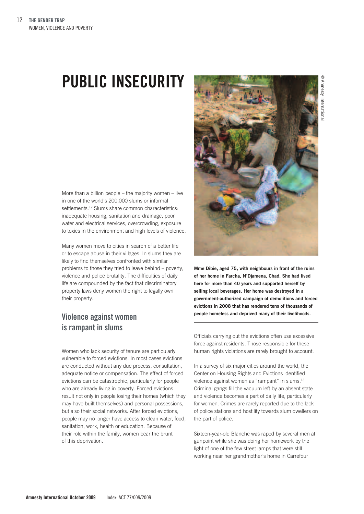## PUBLIC INSECURITY

More than a billion people – the majority women – live in one of the world's 200,000 slums or informal settlements.<sup>12</sup> Slums share common characteristics: inadequate housing, sanitation and drainage, poor water and electrical services, overcrowding, exposure to toxics in the environment and high levels of violence.

Many women move to cities in search of a better life or to escape abuse in their villages. In slums they are likely to find themselves confronted with similar problems to those they tried to leave behind – poverty, violence and police brutality. The difficulties of daily life are compounded by the fact that discriminatory property laws deny women the right to legally own their property.

#### Violence against women is rampant in slums

Women who lack security of tenure are particularly vulnerable to forced evictions. In most cases evictions are conducted without any due process, consultation, adequate notice or compensation. The effect of forced evictions can be catastrophic, particularly for people who are already living in poverty. Forced evictions result not only in people losing their homes (which they may have built themselves) and personal possessions, but also their social networks. After forced evictions, people may no longer have access to clean water, food, sanitation, work, health or education. Because of their role within the family, women bear the brunt of this deprivation.



Mme Dibie, aged 75, with neighbours in front of the ruins of her home in Farcha, N'Djamena, Chad. She had lived here for more than 40 years and supported herself by selling local beverages. Her home was destroyed in a government-authorized campaign of demolitions and forced evictions in 2008 that has rendered tens of thousands of people homeless and deprived many of their livelihoods.

Officials carrying out the evictions often use excessive force against residents. Those responsible for these

human rights violations are rarely brought to account. In a survey of six major cities around the world, the

Center on Housing Rights and Evictions identified violence against women as "rampant" in slums.<sup>13</sup> Criminal gangs fill the vacuum left by an absent state and violence becomes a part of daily life, particularly for women. Crimes are rarely reported due to the lack of police stations and hostility towards slum dwellers on the part of police.

Sixteen-year-old Blanche was raped by several men at gunpoint while she was doing her homework by the light of one of the few street lamps that were still working near her grandmother's home in Carrefour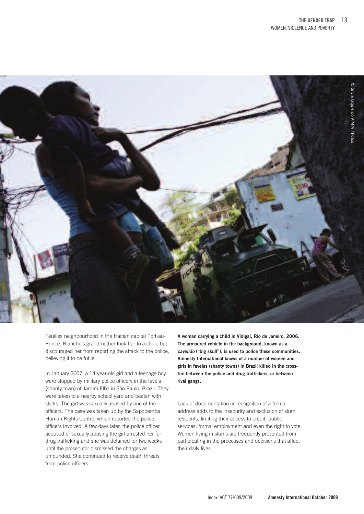

Feuilles neighbourhood in the Haitian capital Port-au-Prince. Blanche's grandmother took her to a clinic but discouraged her from reporting the attack to the police, believing it to be futile.

In January 2007, a 14-year-old girl and a teenage boy were stopped by military police officers in the favela (shanty town) of Jardim Elba in São Paulo, Brazil. They were taken to a nearby school yard and beaten with sticks. The girl was sexually abused by one of the officers. The case was taken up by the Sapopemba Human Rights Centre, which reported the police officers involved. A few days later, the police officer accused of sexually abusing the girl arrested her for drug trafficking and she was detained for two weeks until the prosecutor dismissed the charges as unfounded. She continued to receive death threats from police officers.

A woman carrying a child in Vidigal, Rio de Janeiro, 2006. The armoured vehicle in the background, known as a caveirão ("big skull"), is used to police these communities. Amnesty International knows of a number of women and girls in favelas (shanty towns) in Brazil killed in the crossfire between the police and drug traffickers, or between rival gangs.

Lack of documentation or recognition of a formal address adds to the insecurity and exclusion of slum residents, limiting their access to credit, public services, formal employment and even the right to vote. Women living in slums are frequently prevented from participating in the processes and decisions that affect their daily lives.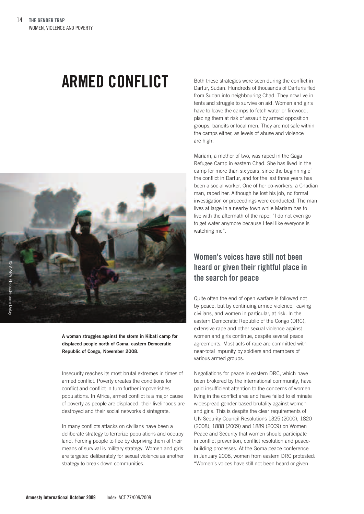### ARMED CONFLICT

![](_page_13_Picture_2.jpeg)

A woman struggles against the storm in Kibati camp for displaced people north of Goma, eastern Democratic Republic of Congo, November 2008.

Insecurity reaches its most brutal extremes in times of armed conflict. Poverty creates the conditions for conflict and conflict in turn further impoverishes populations. In Africa, armed conflict is a major cause of poverty as people are displaced, their livelihoods are destroyed and their social networks disintegrate.

In many conflicts attacks on civilians have been a deliberate strategy to terrorize populations and occupy land. Forcing people to flee by depriving them of their means of survival is military strategy. Women and girls are targeted deliberately for sexual violence as another strategy to break down communities.

Both these strategies were seen during the conflict in Darfur, Sudan. Hundreds of thousands of Darfuris fled from Sudan into neighbouring Chad. They now live in tents and struggle to survive on aid. Women and girls have to leave the camps to fetch water or firewood, placing them at risk of assault by armed opposition groups, bandits or local men. They are not safe within the camps either, as levels of abuse and violence are high.

Mariam, a mother of two, was raped in the Gaga Refugee Camp in eastern Chad. She has lived in the camp for more than six years, since the beginning of the conflict in Darfur, and for the last three years has been a social worker. One of her co-workers, a Chadian man, raped her. Although he lost his job, no formal investigation or proceedings were conducted. The man lives at large in a nearby town while Mariam has to live with the aftermath of the rape: "I do not even go to get water anymore because I feel like everyone is watching me".

#### Women's voices have still not been heard or given their rightful place in the search for peace

Quite often the end of open warfare is followed not by peace, but by continuing armed violence, leaving civilians, and women in particular, at risk. In the eastern Democratic Republic of the Congo (DRC), extensive rape and other sexual violence against women and girls continue, despite several peace agreements. Most acts of rape are committed with near-total impunity by soldiers and members of various armed groups.

Negotiations for peace in eastern DRC, which have been brokered by the international community, have paid insufficient attention to the concerns of women living in the conflict area and have failed to eliminate widespread gender-based brutality against women and girls. This is despite the clear requirements of UN Security Council Resolutions 1325 (2000), 1820 (2008), 1888 (2009) and 1889 (2009) on Women Peace and Security that women should participate in conflict prevention, conflict resolution and peacebuilding processes. At the Goma peace conference in January 2008, women from eastern DRC protested: "Women's voices have still not been heard or given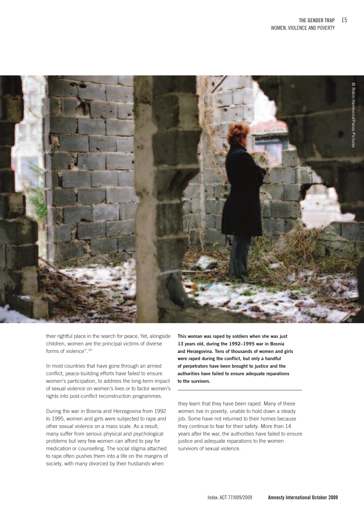![](_page_14_Picture_1.jpeg)

their rightful place in the search for peace. Yet, alongside children, women are the principal victims of diverse forms of violence". 14

In most countries that have gone through an armed conflict, peace-building efforts have failed to ensure women's participation, to address the long-term impact of sexual violence on women's lives or to factor women's rights into post-conflict reconstruction programmes.

During the war in Bosnia and Herzegovina from 1992 to 1995, women and girls were subjected to rape and other sexual violence on a mass scale. As a result, many suffer from serious physical and psychological problems but very few women can afford to pay for medication or counselling. The social stigma attached to rape often pushes them into a life on the margins of society, with many divorced by their husbands when

This woman was raped by soldiers when she was just 13 years old, during the 1992–1995 war in Bosnia and Herzegovina. Tens of thousands of women and girls were raped during the conflict, but only a handful of perpetrators have been brought to justice and the authorities have failed to ensure adequate reparations to the survivors.

they learn that they have been raped. Many of these women live in poverty, unable to hold down a steady job. Some have not returned to their homes because they continue to fear for their safety. More than 14 years after the war, the authorities have failed to ensure justice and adequate reparations to the women survivors of sexual violence.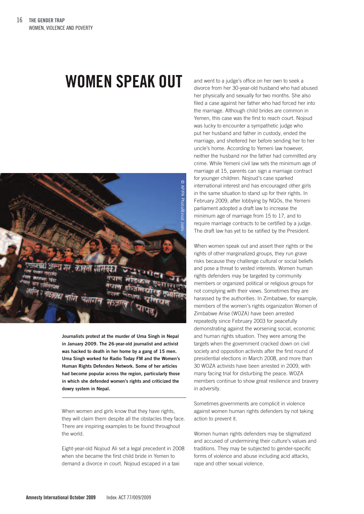#### WOMEN SPEAK OUT

![](_page_15_Picture_2.jpeg)

Journalists protest at the murder of Uma Singh in Nepal in January 2009. The 26-year-old journalist and activist was hacked to death in her home by a gang of 15 men. Uma Singh worked for Radio Today FM and the Women's Human Rights Defenders Network. Some of her articles had become popular across the region, particularly those in which she defended women's rights and criticized the dowry system in Nepal.

When women and girls know that they have rights, they will claim them despite all the obstacles they face. There are inspiring examples to be found throughout the world.

Eight-year-old Nojoud Ali set a legal precedent in 2008 when she became the first child bride in Yemen to demand a divorce in court. Nojoud escaped in a taxi

and went to a judge's office on her own to seek a divorce from her 30-year-old husband who had abused her physically and sexually for two months. She also filed a case against her father who had forced her into the marriage. Although child brides are common in Yemen, this case was the first to reach court. Nojoud was lucky to encounter a sympathetic judge who put her husband and father in custody, ended the marriage, and sheltered her before sending her to her uncle's home. According to Yemeni law however, neither the husband nor the father had committed any crime. While Yemeni civil law sets the minimum age of marriage at 15, parents can sign a marriage contract for younger children. Nojoud's case sparked international interest and has encouraged other girls in the same situation to stand up for their rights. In February 2009, after lobbying by NGOs, the Yemeni parliament adopted a draft law to increase the minimum age of marriage from 15 to 17, and to require marriage contracts to be certified by a judge. The draft law has yet to be ratified by the President.

When women speak out and assert their rights or the rights of other marginalized groups, they run grave risks because they challenge cultural or social beliefs and pose a threat to vested interests. Women human rights defenders may be targeted by community members or organized political or religious groups for not complying with their views. Sometimes they are harassed by the authorities. In Zimbabwe, for example, members of the women's rights organization Women of Zimbabwe Arise (WOZA) have been arrested repeatedly since February 2003 for peacefully demonstrating against the worsening social, economic and human rights situation. They were among the targets when the government cracked down on civil society and opposition activists after the first round of presidential elections in March 2008, and more than 30 WOZA activists have been arrested in 2009, with many facing trial for disturbing the peace. WOZA members continue to show great resilience and bravery in adversity.

Sometimes governments are complicit in violence against women human rights defenders by not taking action to prevent it.

Women human rights defenders may be stigmatized and accused of undermining their culture's values and traditions. They may be subjected to gender-specific forms of violence and abuse including acid attacks, rape and other sexual violence.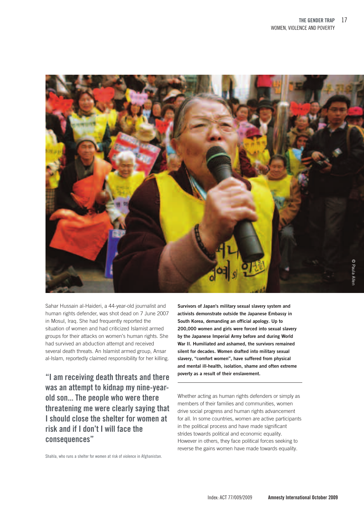![](_page_16_Picture_1.jpeg)

Sahar Hussain al-Haideri, a 44-year-old journalist and human rights defender, was shot dead on 7 June 2007 in Mosul, Iraq. She had frequently reported the situation of women and had criticized Islamist armed groups for their attacks on women's human rights. She had survived an abduction attempt and received several death threats. An Islamist armed group, Ansar al-Islam, reportedly claimed responsibility for her killing.

"I am receiving death threats and there was an attempt to kidnap my nine-yearold son... The people who were there threatening me were clearly saying that I should close the shelter for women at risk and if I don't I will face the consequences"

Shahla, who runs a shelter for women at risk of violence in Afghanistan.

Survivors of Japan's military sexual slavery system and activists demonstrate outside the Japanese Embassy in South Korea, demanding an official apology. Up to 200,000 women and girls were forced into sexual slavery by the Japanese Imperial Army before and during World War II. Humiliated and ashamed, the survivors remained silent for decades. Women drafted into military sexual slavery, "comfort women", have suffered from physical and mental ill-health, isolation, shame and often extreme poverty as a result of their enslavement.

Whether acting as human rights defenders or simply as members of their families and communities, women drive social progress and human rights advancement for all. In some countries, women are active participants in the political process and have made significant strides towards political and economic equality. However in others, they face political forces seeking to reverse the gains women have made towards equality.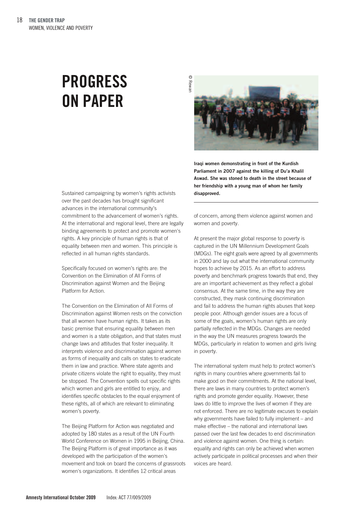### PROGRESS ON PAPER

Sustained campaigning by women's rights activists over the past decades has brought significant advances in the international community's commitment to the advancement of women's rights. At the international and regional level, there are legally binding agreements to protect and promote women's rights. A key principle of human rights is that of equality between men and women. This principle is reflected in all human rights standards.

Specifically focused on women's rights are: the Convention on the Elimination of All Forms of Discrimination against Women and the Beijing Platform for Action.

The Convention on the Elimination of All Forms of Discrimination against Women rests on the conviction that all women have human rights. It takes as its basic premise that ensuring equality between men and women is a state obligation, and that states must change laws and attitudes that foster inequality. It interprets violence and discrimination against women as forms of inequality and calls on states to eradicate them in law and practice. Where state agents and private citizens violate the right to equality, they must be stopped. The Convention spells out specific rights which women and girls are entitled to enjoy, and identifies specific obstacles to the equal enjoyment of these rights, all of which are relevant to eliminating women's poverty.

The Beijing Platform for Action was negotiated and adopted by 180 states as a result of the UN Fourth World Conference on Women in 1995 in Beijing, China. The Beijing Platform is of great importance as it was developed with the participation of the women's movement and took on board the concerns of grassroots women's organizations. It identifies 12 critical areas

![](_page_17_Picture_6.jpeg)

Iraqi women demonstrating in front of the Kurdish Parliament in 2007 against the killing of Du'a Khalil Aswad. She was stoned to death in the street because of her friendship with a young man of whom her family disapproved.

of concern, among them violence against women and women and poverty.

At present the major global response to poverty is captured in the UN Millennium Development Goals (MDGs). The eight goals were agreed by all governments in 2000 and lay out what the international community hopes to achieve by 2015. As an effort to address poverty and benchmark progress towards that end, they are an important achievement as they reflect a global consensus. At the same time, in the way they are constructed, they mask continuing discrimination and fail to address the human rights abuses that keep people poor. Although gender issues are a focus of some of the goals, women's human rights are only partially reflected in the MDGs. Changes are needed in the way the UN measures progress towards the MDGs, particularly in relation to women and girls living in poverty.

The international system must help to protect women's rights in many countries where governments fail to make good on their commitments. At the national level, there are laws in many countries to protect women's rights and promote gender equality. However, these laws do little to improve the lives of women if they are not enforced. There are no legitimate excuses to explain why governments have failed to fully implement – and make effective – the national and international laws passed over the last few decades to end discrimination and violence against women. One thing is certain: equality and rights can only be achieved when women actively participate in political processes and when their voices are heard.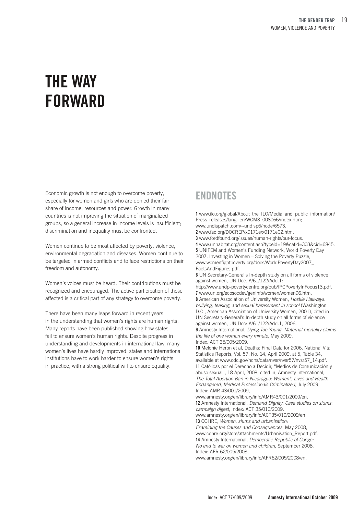### THE WAY FORWARD

Economic growth is not enough to overcome poverty, especially for women and girls who are denied their fair share of income, resources and power. Growth in many countries is not improving the situation of marginalized groups, so a general increase in income levels is insufficient; discrimination and inequality must be confronted.

Women continue to be most affected by poverty, violence, environmental degradation and diseases. Women continue to be targeted in armed conflicts and to face restrictions on their freedom and autonomy.

Women's voices must be heard. Their contributions must be recognized and encouraged. The active participation of those affected is a critical part of any strategy to overcome poverty.

There have been many leaps forward in recent years in the understanding that women's rights are human rights. Many reports have been published showing how states fail to ensure women's human rights. Despite progress in understanding and developments in international law, many women's lives have hardly improved: states and international institutions have to work harder to ensure women's rights in practice, with a strong political will to ensure equality.

#### ENDNOTES

1 www.ilo.org/global/About\_the\_ILO/Media\_and\_public\_information/ Press\_releases/lang--en/WCMS\_008066/index.htm: www.undispatch.com/~undisp6/node/6573. 2 www.fao.org/DOCREP/x0171e/x0171e02.htm. 3 www.fordfound.org/issues/human-rights/our-focus. 4 www.unhabitat.org/content.asp?typeid=19&catid=303&cid=6845. 5 UNIFEM and Women's Funding Network, World Poverty Day 2007. Investing in Women – Solving the Poverty Puzzle, www.womenfightpoverty.org/docs/WorldPovertyDay2007\_ FactsAndFigures.pdf. 6 UN Secretary-General's In-depth study on all forms of violence against women, UN Doc. A/61/122/Add.1: http://www.undp-povertycentre.org/pub/IPCPovertyInFocus13.pdf. 7 www.un.org/ecosocdev/geninfo/women/women96.htm. 8 American Association of University Women, Hostile Hallways: bullying, teasing, and sexual harassment in school (Washington D.C., American Association of University Women, 2001), cited in UN Secretary-General's In-depth study on all forms of violence against women, UN Doc: A/61/122/Add.1, 2006. 9 Amnesty International, Dying Too Young, Maternal mortality claims the life of one woman every minute, May 2009, Index: ACT 35/005/2009. 10 Melonie Heron et al, Deaths: Final Data for 2006, National Vital Statistics Reports, Vol. 57, No. 14, April 2009, at 5, Table 34, available at www.cdc.gov/nchs/data/nvsr/nvsr57/nvsr57\_14.pdf. 11 Católicas por el Derecho a Decidir, "Medios de Comunicación y abuso sexual", 18 April, 2008, cited in, Amnesty International, The Total Abortion Ban in Nicaragua: Women's Lives and Health Endangered, Medical Professionals Criminalized, July 2009, Index: AMR 43/001/2009, www.amnesty.org/en/library/info/AMR43/001/2009/en. 12 Amnesty International, Demand Dignity: Case studies on slums: campaign digest, Index: ACT 35/010/2009.

www.amnesty.org/en/library/info/ACT35/010/2009/en 13 COHRE, Women, slums and urbanisation:

Examining the Causes and Consequences, May 2008, www.cohre.org/store/attachments/Urbanisation\_Report.pdf. 14 Amnesty International, Democratic Republic of Congo: No end to war on women and children, September 2008, Index: AFR 62/005/2008,

www.amnesty.org/en/library/info/AFR62/005/2008/en.